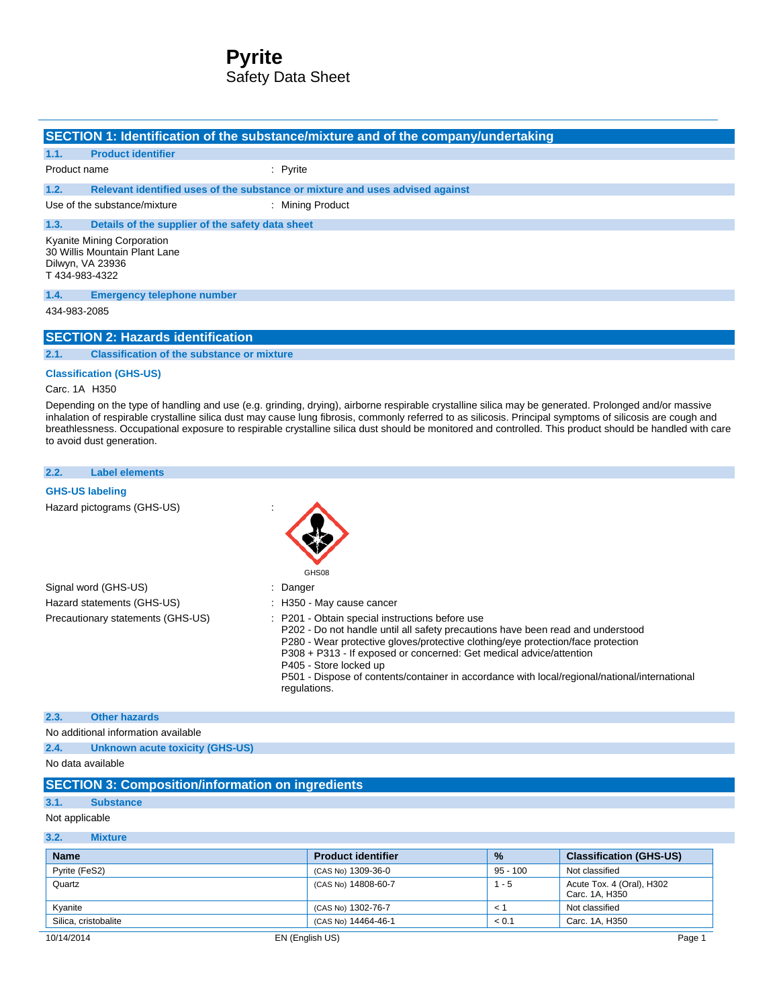# **Pyrite** Safety Data Sheet

|               |                                                                                 | SECTION 1: Identification of the substance/mixture and of the company/undertaking |  |
|---------------|---------------------------------------------------------------------------------|-----------------------------------------------------------------------------------|--|
| 1.1.          | <b>Product identifier</b>                                                       |                                                                                   |  |
| Product name  |                                                                                 | $:$ Pyrite                                                                        |  |
| 1.2.          |                                                                                 | Relevant identified uses of the substance or mixture and uses advised against     |  |
|               | Use of the substance/mixture                                                    | : Mining Product                                                                  |  |
| 1.3.          | Details of the supplier of the safety data sheet                                |                                                                                   |  |
| T434-983-4322 | Kyanite Mining Corporation<br>30 Willis Mountain Plant Lane<br>Dilwyn, VA 23936 |                                                                                   |  |
| 1.4.          | <b>Emergency telephone number</b>                                               |                                                                                   |  |
| 434-983-2085  |                                                                                 |                                                                                   |  |
|               | <b>SECTION 2: Hazards identification</b>                                        |                                                                                   |  |
| 2.1.          | <b>Classification of the substance or mixture</b>                               |                                                                                   |  |
|               | <b>Classification (GHS-US)</b>                                                  |                                                                                   |  |

#### Carc. 1A H350

Depending on the type of handling and use (e.g. grinding, drying), airborne respirable crystalline silica may be generated. Prolonged and/or massive inhalation of respirable crystalline silica dust may cause lung fibrosis, commonly referred to as silicosis. Principal symptoms of silicosis are cough and breathlessness. Occupational exposure to respirable crystalline silica dust should be monitored and controlled. This product should be handled with care to avoid dust generation.

# **2.2. Label elements**

#### **GHS-US labeling**

Hazard pictograms (GHS-US) :

|                                   | $\overline{\phantom{a}}$                                                                                                                                                                                                                                                                                                                                                                                                                 |
|-----------------------------------|------------------------------------------------------------------------------------------------------------------------------------------------------------------------------------------------------------------------------------------------------------------------------------------------------------------------------------------------------------------------------------------------------------------------------------------|
|                                   | GHS08                                                                                                                                                                                                                                                                                                                                                                                                                                    |
| Signal word (GHS-US)              | : Danger                                                                                                                                                                                                                                                                                                                                                                                                                                 |
| Hazard statements (GHS-US)        | : H350 - May cause cancer                                                                                                                                                                                                                                                                                                                                                                                                                |
| Precautionary statements (GHS-US) | : P201 - Obtain special instructions before use<br>P202 - Do not handle until all safety precautions have been read and understood<br>P280 - Wear protective gloves/protective clothing/eye protection/face protection<br>P308 + P313 - If exposed or concerned: Get medical advice/attention<br>P405 - Store locked up<br>P501 - Dispose of contents/container in accordance with local/regional/national/international<br>regulations. |

# **2.3. Other hazards**

No additional information available

**2.4. Unknown acute toxicity (GHS-US)**

No data available

## **SECTION 3: Composition/information on ingredients**

### **3.1. Substance**

Not applicable

#### **3.2. Mixture**

| <b>Name</b>          | <b>Product identifier</b> | $\frac{9}{6}$ | <b>Classification (GHS-US)</b>              |
|----------------------|---------------------------|---------------|---------------------------------------------|
| Pyrite (FeS2)        | (CAS No) 1309-36-0        | $95 - 100$    | Not classified                              |
| Quartz               | (CAS No) 14808-60-7       | - 5           | Acute Tox. 4 (Oral), H302<br>Carc. 1A. H350 |
| Kvanite              | (CAS No) 1302-76-7        | $\prec$       | Not classified                              |
| Silica, cristobalite | (CAS No) 14464-46-1       | < 0.1         | Carc. 1A, H350                              |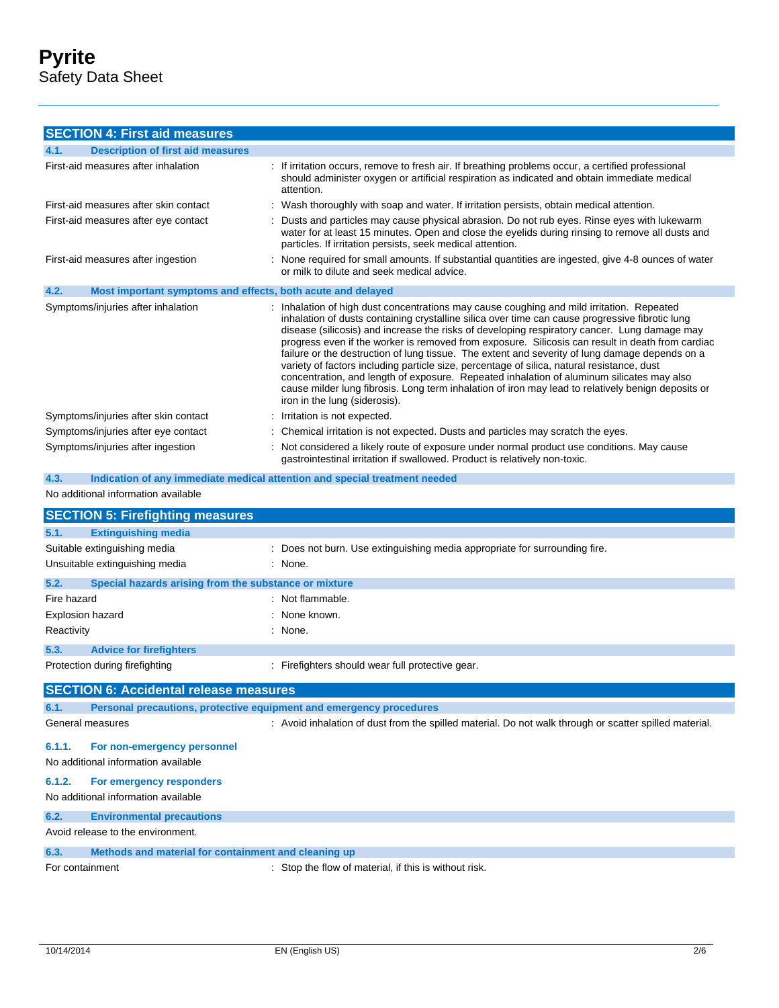## **SECTION 4: First aid measures**

| 4.1.<br><b>Description of first aid measures</b>                    |                                                                                                                                                                                                                                                                                                                                                                                                                                                                                                                                                                                                                                                                                                                                                                                                                                      |
|---------------------------------------------------------------------|--------------------------------------------------------------------------------------------------------------------------------------------------------------------------------------------------------------------------------------------------------------------------------------------------------------------------------------------------------------------------------------------------------------------------------------------------------------------------------------------------------------------------------------------------------------------------------------------------------------------------------------------------------------------------------------------------------------------------------------------------------------------------------------------------------------------------------------|
| First-aid measures after inhalation                                 | : If irritation occurs, remove to fresh air. If breathing problems occur, a certified professional<br>should administer oxygen or artificial respiration as indicated and obtain immediate medical<br>attention.                                                                                                                                                                                                                                                                                                                                                                                                                                                                                                                                                                                                                     |
| First-aid measures after skin contact                               | : Wash thoroughly with soap and water. If irritation persists, obtain medical attention.                                                                                                                                                                                                                                                                                                                                                                                                                                                                                                                                                                                                                                                                                                                                             |
| First-aid measures after eye contact                                | : Dusts and particles may cause physical abrasion. Do not rub eyes. Rinse eyes with lukewarm<br>water for at least 15 minutes. Open and close the eyelids during rinsing to remove all dusts and<br>particles. If irritation persists, seek medical attention.                                                                                                                                                                                                                                                                                                                                                                                                                                                                                                                                                                       |
| First-aid measures after ingestion                                  | : None required for small amounts. If substantial quantities are ingested, give 4-8 ounces of water<br>or milk to dilute and seek medical advice.                                                                                                                                                                                                                                                                                                                                                                                                                                                                                                                                                                                                                                                                                    |
| 4.2.<br>Most important symptoms and effects, both acute and delayed |                                                                                                                                                                                                                                                                                                                                                                                                                                                                                                                                                                                                                                                                                                                                                                                                                                      |
| Symptoms/injuries after inhalation                                  | : Inhalation of high dust concentrations may cause coughing and mild irritation. Repeated<br>inhalation of dusts containing crystalline silica over time can cause progressive fibrotic lung<br>disease (silicosis) and increase the risks of developing respiratory cancer. Lung damage may<br>progress even if the worker is removed from exposure. Silicosis can result in death from cardiac<br>failure or the destruction of lung tissue. The extent and severity of lung damage depends on a<br>variety of factors including particle size, percentage of silica, natural resistance, dust<br>concentration, and length of exposure. Repeated inhalation of aluminum silicates may also<br>cause milder lung fibrosis. Long term inhalation of iron may lead to relatively benign deposits or<br>iron in the lung (siderosis). |
| Symptoms/injuries after skin contact                                | : Irritation is not expected.                                                                                                                                                                                                                                                                                                                                                                                                                                                                                                                                                                                                                                                                                                                                                                                                        |
| Symptoms/injuries after eye contact                                 | : Chemical irritation is not expected. Dusts and particles may scratch the eyes.                                                                                                                                                                                                                                                                                                                                                                                                                                                                                                                                                                                                                                                                                                                                                     |
| Symptoms/injuries after ingestion                                   | : Not considered a likely route of exposure under normal product use conditions. May cause<br>gastrointestinal irritation if swallowed. Product is relatively non-toxic.                                                                                                                                                                                                                                                                                                                                                                                                                                                                                                                                                                                                                                                             |

# **4.3. Indication of any immediate medical attention and special treatment needed**

#### No additional information available

|                         | <b>SECTION 5: Firefighting measures</b>                             |                                                                                                        |
|-------------------------|---------------------------------------------------------------------|--------------------------------------------------------------------------------------------------------|
| 5.1.                    | <b>Extinguishing media</b>                                          |                                                                                                        |
|                         | Suitable extinguishing media                                        | : Does not burn. Use extinguishing media appropriate for surrounding fire.                             |
|                         | Unsuitable extinguishing media                                      | : None.                                                                                                |
| 5.2.                    | Special hazards arising from the substance or mixture               |                                                                                                        |
| Fire hazard             |                                                                     | : Not flammable.                                                                                       |
| <b>Explosion hazard</b> |                                                                     | : None known.                                                                                          |
| Reactivity              |                                                                     | : None.                                                                                                |
| 5.3.                    | <b>Advice for firefighters</b>                                      |                                                                                                        |
|                         | Protection during firefighting                                      | : Firefighters should wear full protective gear.                                                       |
|                         | <b>SECTION 6: Accidental release measures</b>                       |                                                                                                        |
| 6.1.                    | Personal precautions, protective equipment and emergency procedures |                                                                                                        |
|                         | General measures                                                    | : Avoid inhalation of dust from the spilled material. Do not walk through or scatter spilled material. |
| 6.1.1.                  | For non-emergency personnel                                         |                                                                                                        |
|                         | No additional information available                                 |                                                                                                        |
| 6.1.2.                  | For emergency responders                                            |                                                                                                        |
|                         | No additional information available                                 |                                                                                                        |
| 6.2.                    | <b>Environmental precautions</b>                                    |                                                                                                        |
|                         | Avoid release to the environment.                                   |                                                                                                        |
| 6.3.                    | Methods and material for containment and cleaning up                |                                                                                                        |
| For containment         |                                                                     | : Stop the flow of material, if this is without risk.                                                  |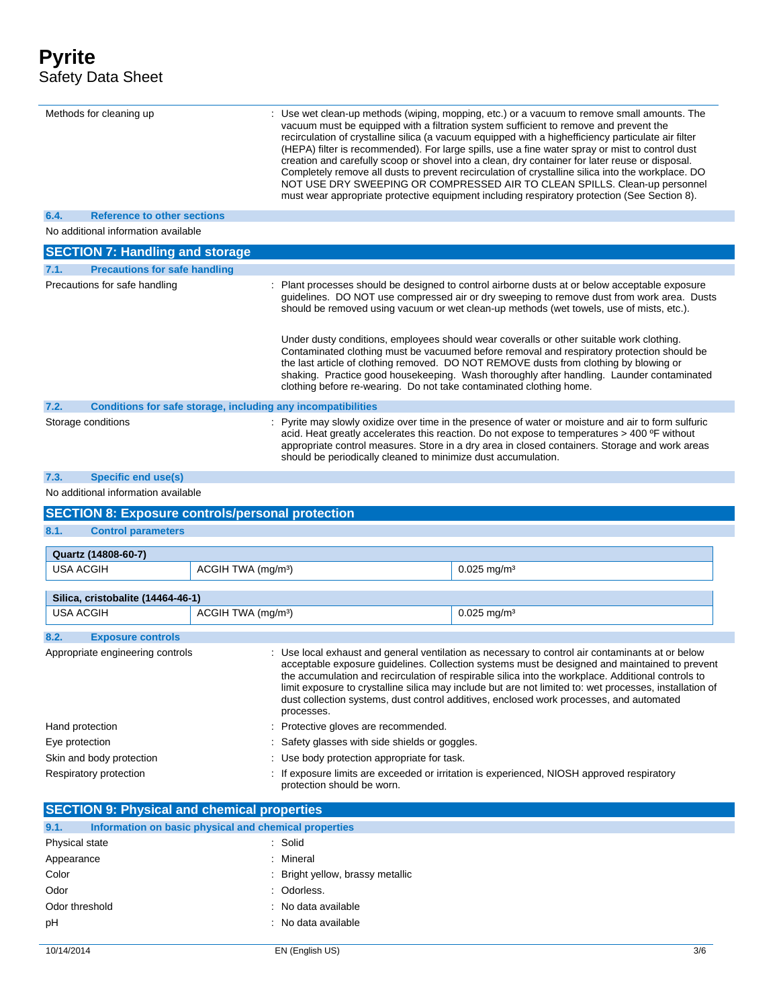| Methods for cleaning up                                       |                                |                                                                                                                                                                                                                                                                                                                                                                                                                                                                                                                             | : Use wet clean-up methods (wiping, mopping, etc.) or a vacuum to remove small amounts. The<br>vacuum must be equipped with a filtration system sufficient to remove and prevent the<br>recirculation of crystalline silica (a vacuum equipped with a highefficiency particulate air filter                                                                                                                                                                                           |  |
|---------------------------------------------------------------|--------------------------------|-----------------------------------------------------------------------------------------------------------------------------------------------------------------------------------------------------------------------------------------------------------------------------------------------------------------------------------------------------------------------------------------------------------------------------------------------------------------------------------------------------------------------------|---------------------------------------------------------------------------------------------------------------------------------------------------------------------------------------------------------------------------------------------------------------------------------------------------------------------------------------------------------------------------------------------------------------------------------------------------------------------------------------|--|
|                                                               |                                |                                                                                                                                                                                                                                                                                                                                                                                                                                                                                                                             | (HEPA) filter is recommended). For large spills, use a fine water spray or mist to control dust<br>creation and carefully scoop or shovel into a clean, dry container for later reuse or disposal.<br>Completely remove all dusts to prevent recirculation of crystalline silica into the workplace. DO<br>NOT USE DRY SWEEPING OR COMPRESSED AIR TO CLEAN SPILLS. Clean-up personnel<br>must wear appropriate protective equipment including respiratory protection (See Section 8). |  |
| 6.4.<br><b>Reference to other sections</b>                    |                                |                                                                                                                                                                                                                                                                                                                                                                                                                                                                                                                             |                                                                                                                                                                                                                                                                                                                                                                                                                                                                                       |  |
| No additional information available                           |                                |                                                                                                                                                                                                                                                                                                                                                                                                                                                                                                                             |                                                                                                                                                                                                                                                                                                                                                                                                                                                                                       |  |
| <b>SECTION 7: Handling and storage</b>                        |                                |                                                                                                                                                                                                                                                                                                                                                                                                                                                                                                                             |                                                                                                                                                                                                                                                                                                                                                                                                                                                                                       |  |
| <b>Precautions for safe handling</b><br>7.1.                  |                                |                                                                                                                                                                                                                                                                                                                                                                                                                                                                                                                             |                                                                                                                                                                                                                                                                                                                                                                                                                                                                                       |  |
| Precautions for safe handling                                 |                                |                                                                                                                                                                                                                                                                                                                                                                                                                                                                                                                             | Plant processes should be designed to control airborne dusts at or below acceptable exposure<br>guidelines. DO NOT use compressed air or dry sweeping to remove dust from work area. Dusts<br>should be removed using vacuum or wet clean-up methods (wet towels, use of mists, etc.).                                                                                                                                                                                                |  |
|                                                               |                                | clothing before re-wearing. Do not take contaminated clothing home.                                                                                                                                                                                                                                                                                                                                                                                                                                                         | Under dusty conditions, employees should wear coveralls or other suitable work clothing.<br>Contaminated clothing must be vacuumed before removal and respiratory protection should be<br>the last article of clothing removed. DO NOT REMOVE dusts from clothing by blowing or<br>shaking. Practice good housekeeping. Wash thoroughly after handling. Launder contaminated                                                                                                          |  |
| 7.2.                                                          |                                | Conditions for safe storage, including any incompatibilities                                                                                                                                                                                                                                                                                                                                                                                                                                                                |                                                                                                                                                                                                                                                                                                                                                                                                                                                                                       |  |
| Storage conditions                                            |                                | should be periodically cleaned to minimize dust accumulation.                                                                                                                                                                                                                                                                                                                                                                                                                                                               | : Pyrite may slowly oxidize over time in the presence of water or moisture and air to form sulfuric<br>acid. Heat greatly accelerates this reaction. Do not expose to temperatures > 400 °F without<br>appropriate control measures. Store in a dry area in closed containers. Storage and work areas                                                                                                                                                                                 |  |
| <b>Specific end use(s)</b><br>7.3.                            |                                |                                                                                                                                                                                                                                                                                                                                                                                                                                                                                                                             |                                                                                                                                                                                                                                                                                                                                                                                                                                                                                       |  |
| No additional information available                           |                                |                                                                                                                                                                                                                                                                                                                                                                                                                                                                                                                             |                                                                                                                                                                                                                                                                                                                                                                                                                                                                                       |  |
| <b>SECTION 8: Exposure controls/personal protection</b>       |                                |                                                                                                                                                                                                                                                                                                                                                                                                                                                                                                                             |                                                                                                                                                                                                                                                                                                                                                                                                                                                                                       |  |
| 8.1.<br><b>Control parameters</b>                             |                                |                                                                                                                                                                                                                                                                                                                                                                                                                                                                                                                             |                                                                                                                                                                                                                                                                                                                                                                                                                                                                                       |  |
|                                                               |                                |                                                                                                                                                                                                                                                                                                                                                                                                                                                                                                                             |                                                                                                                                                                                                                                                                                                                                                                                                                                                                                       |  |
| Quartz (14808-60-7)<br><b>USA ACGIH</b>                       | ACGIH TWA (mg/m <sup>3</sup> ) |                                                                                                                                                                                                                                                                                                                                                                                                                                                                                                                             | $0.025$ mg/m <sup>3</sup>                                                                                                                                                                                                                                                                                                                                                                                                                                                             |  |
|                                                               |                                |                                                                                                                                                                                                                                                                                                                                                                                                                                                                                                                             |                                                                                                                                                                                                                                                                                                                                                                                                                                                                                       |  |
| Silica, cristobalite (14464-46-1)                             |                                |                                                                                                                                                                                                                                                                                                                                                                                                                                                                                                                             |                                                                                                                                                                                                                                                                                                                                                                                                                                                                                       |  |
| <b>USA ACGIH</b>                                              | ACGIH TWA (mg/m <sup>3</sup> ) |                                                                                                                                                                                                                                                                                                                                                                                                                                                                                                                             | $0.025$ mg/m <sup>3</sup>                                                                                                                                                                                                                                                                                                                                                                                                                                                             |  |
| 8.2.<br><b>Exposure controls</b>                              |                                |                                                                                                                                                                                                                                                                                                                                                                                                                                                                                                                             |                                                                                                                                                                                                                                                                                                                                                                                                                                                                                       |  |
| Appropriate engineering controls                              |                                | : Use local exhaust and general ventilation as necessary to control air contaminants at or below<br>acceptable exposure guidelines. Collection systems must be designed and maintained to prevent<br>the accumulation and recirculation of respirable silica into the workplace. Additional controls to<br>limit exposure to crystalline silica may include but are not limited to: wet processes, installation of<br>dust collection systems, dust control additives, enclosed work processes, and automated<br>processes. |                                                                                                                                                                                                                                                                                                                                                                                                                                                                                       |  |
| Hand protection                                               |                                | Protective gloves are recommended.                                                                                                                                                                                                                                                                                                                                                                                                                                                                                          |                                                                                                                                                                                                                                                                                                                                                                                                                                                                                       |  |
| Eye protection                                                |                                | Safety glasses with side shields or goggles.                                                                                                                                                                                                                                                                                                                                                                                                                                                                                |                                                                                                                                                                                                                                                                                                                                                                                                                                                                                       |  |
| Skin and body protection                                      |                                | Use body protection appropriate for task.                                                                                                                                                                                                                                                                                                                                                                                                                                                                                   |                                                                                                                                                                                                                                                                                                                                                                                                                                                                                       |  |
| Respiratory protection                                        |                                | protection should be worn.                                                                                                                                                                                                                                                                                                                                                                                                                                                                                                  | If exposure limits are exceeded or irritation is experienced, NIOSH approved respiratory                                                                                                                                                                                                                                                                                                                                                                                              |  |
| <b>SECTION 9: Physical and chemical properties</b>            |                                |                                                                                                                                                                                                                                                                                                                                                                                                                                                                                                                             |                                                                                                                                                                                                                                                                                                                                                                                                                                                                                       |  |
| Information on basic physical and chemical properties<br>9.1. |                                |                                                                                                                                                                                                                                                                                                                                                                                                                                                                                                                             |                                                                                                                                                                                                                                                                                                                                                                                                                                                                                       |  |
| Physical state                                                |                                | Solid                                                                                                                                                                                                                                                                                                                                                                                                                                                                                                                       |                                                                                                                                                                                                                                                                                                                                                                                                                                                                                       |  |
| Appearance                                                    |                                | Mineral                                                                                                                                                                                                                                                                                                                                                                                                                                                                                                                     |                                                                                                                                                                                                                                                                                                                                                                                                                                                                                       |  |
| Color                                                         |                                | Bright yellow, brassy metallic                                                                                                                                                                                                                                                                                                                                                                                                                                                                                              |                                                                                                                                                                                                                                                                                                                                                                                                                                                                                       |  |
| Odor                                                          |                                | Odorless.                                                                                                                                                                                                                                                                                                                                                                                                                                                                                                                   |                                                                                                                                                                                                                                                                                                                                                                                                                                                                                       |  |
| Odor threshold                                                |                                | No data available                                                                                                                                                                                                                                                                                                                                                                                                                                                                                                           |                                                                                                                                                                                                                                                                                                                                                                                                                                                                                       |  |
| рH                                                            |                                | No data available                                                                                                                                                                                                                                                                                                                                                                                                                                                                                                           |                                                                                                                                                                                                                                                                                                                                                                                                                                                                                       |  |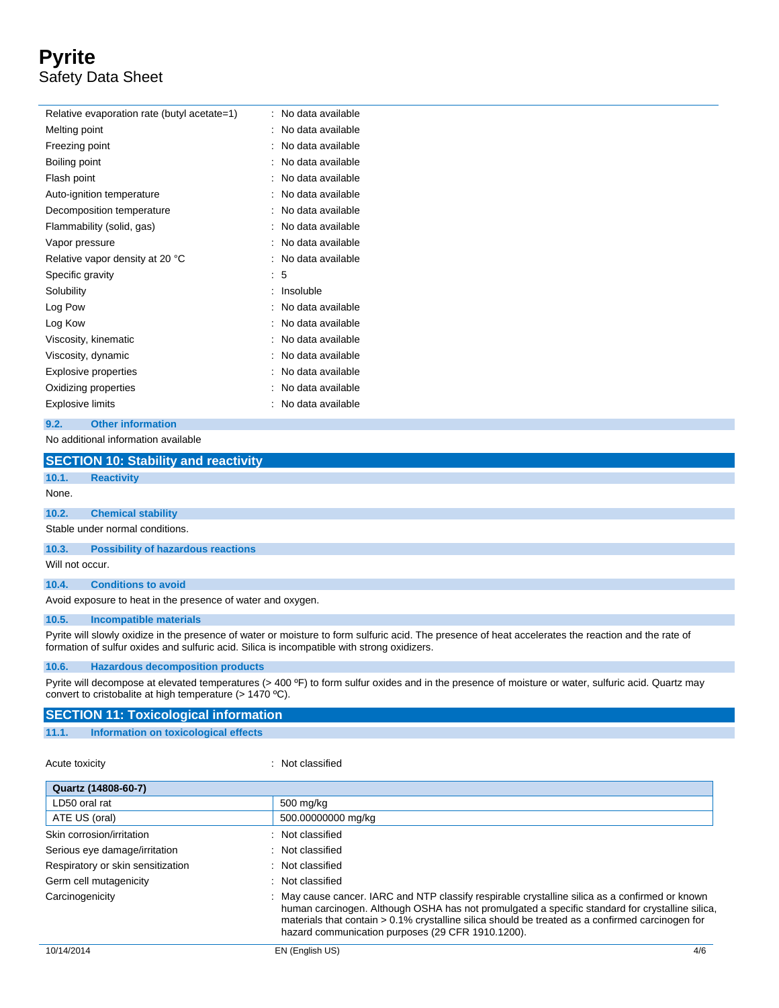# **Pyrite** Safety Data Sheet

| Relative evaporation rate (butyl acetate=1) | No data available |
|---------------------------------------------|-------------------|
| Melting point                               | No data available |
| Freezing point                              | No data available |
| Boiling point                               | No data available |
| Flash point                                 | No data available |
| Auto-ignition temperature                   | No data available |
| Decomposition temperature                   | No data available |
| Flammability (solid, gas)                   | No data available |
| Vapor pressure                              | No data available |
| Relative vapor density at 20 °C             | No data available |
| Specific gravity                            | 5                 |
| Solubility                                  | Insoluble         |
| Log Pow                                     | No data available |
| Log Kow                                     | No data available |
| Viscosity, kinematic                        | No data available |
| Viscosity, dynamic                          | No data available |
| <b>Explosive properties</b>                 | No data available |
| Oxidizing properties                        | No data available |
| Explosive limits                            | No data available |

#### **9.2. Other information**

No additional information available

|                 | <b>SECTION 10: Stability and reactivity</b>                 |  |  |
|-----------------|-------------------------------------------------------------|--|--|
| 10.1.           | <b>Reactivity</b>                                           |  |  |
| None.           |                                                             |  |  |
| 10.2.           | <b>Chemical stability</b>                                   |  |  |
|                 | Stable under normal conditions.                             |  |  |
| 10.3.           | <b>Possibility of hazardous reactions</b>                   |  |  |
| Will not occur. |                                                             |  |  |
| 10.4.           | <b>Conditions to avoid</b>                                  |  |  |
|                 | Avoid exposure to heat in the presence of water and oxygen. |  |  |

#### **10.5. Incompatible materials**

Pyrite will slowly oxidize in the presence of water or moisture to form sulfuric acid. The presence of heat accelerates the reaction and the rate of formation of sulfur oxides and sulfuric acid. Silica is incompatible with strong oxidizers.

#### **10.6. Hazardous decomposition products**

Pyrite will decompose at elevated temperatures (> 400 ºF) to form sulfur oxides and in the presence of moisture or water, sulfuric acid. Quartz may convert to cristobalite at high temperature (> 1470 ºC).

| <b>SECTION 11: Toxicological information</b> |                                      |  |  |
|----------------------------------------------|--------------------------------------|--|--|
| 11.1.                                        | Information on toxicological effects |  |  |

Acute toxicity **in the case of the case of the case of the case of the case of the case of the case of the case of the case of the case of the case of the case of the case of the case of the case of the case of the case of** 

| Quartz (14808-60-7)               |                                                                                                                                                                                                                                                                                                                                                             |  |
|-----------------------------------|-------------------------------------------------------------------------------------------------------------------------------------------------------------------------------------------------------------------------------------------------------------------------------------------------------------------------------------------------------------|--|
| LD50 oral rat                     | 500 mg/kg                                                                                                                                                                                                                                                                                                                                                   |  |
| ATE US (oral)                     | 500.00000000 mg/kg                                                                                                                                                                                                                                                                                                                                          |  |
| Skin corrosion/irritation         | : Not classified                                                                                                                                                                                                                                                                                                                                            |  |
| Serious eye damage/irritation     | : Not classified                                                                                                                                                                                                                                                                                                                                            |  |
| Respiratory or skin sensitization | : Not classified                                                                                                                                                                                                                                                                                                                                            |  |
| Germ cell mutagenicity            | : Not classified                                                                                                                                                                                                                                                                                                                                            |  |
| Carcinogenicity                   | : May cause cancer. IARC and NTP classify respirable crystalline silica as a confirmed or known<br>human carcinogen. Although OSHA has not promulgated a specific standard for crystalline silica,<br>materials that contain > 0.1% crystalline silica should be treated as a confirmed carcinogen for<br>hazard communication purposes (29 CFR 1910.1200). |  |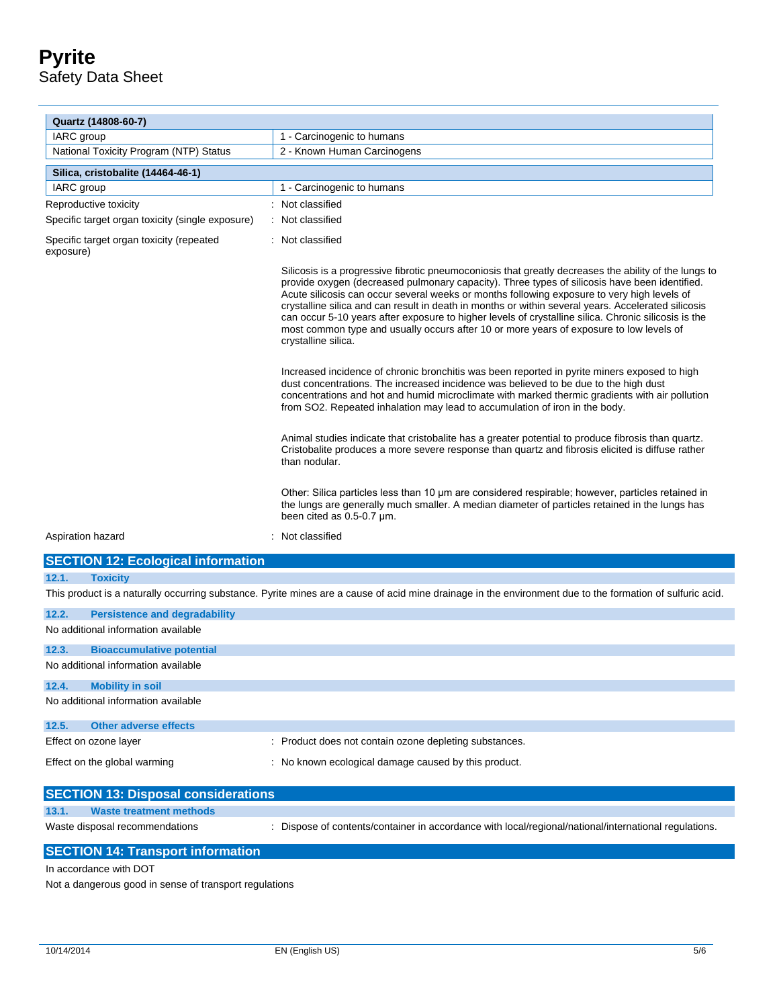# **Pyrite** Safety Data Sheet

| Quartz (14808-60-7)                                   |                                                                                                                                                                                                                                                                                                                                                                                                                                                                                                                                                                                                                                        |
|-------------------------------------------------------|----------------------------------------------------------------------------------------------------------------------------------------------------------------------------------------------------------------------------------------------------------------------------------------------------------------------------------------------------------------------------------------------------------------------------------------------------------------------------------------------------------------------------------------------------------------------------------------------------------------------------------------|
| <b>IARC</b> group                                     | 1 - Carcinogenic to humans                                                                                                                                                                                                                                                                                                                                                                                                                                                                                                                                                                                                             |
| National Toxicity Program (NTP) Status                | 2 - Known Human Carcinogens                                                                                                                                                                                                                                                                                                                                                                                                                                                                                                                                                                                                            |
| Silica, cristobalite (14464-46-1)                     |                                                                                                                                                                                                                                                                                                                                                                                                                                                                                                                                                                                                                                        |
| IARC group                                            | 1 - Carcinogenic to humans                                                                                                                                                                                                                                                                                                                                                                                                                                                                                                                                                                                                             |
| Reproductive toxicity                                 | : Not classified                                                                                                                                                                                                                                                                                                                                                                                                                                                                                                                                                                                                                       |
| Specific target organ toxicity (single exposure)      | : Not classified                                                                                                                                                                                                                                                                                                                                                                                                                                                                                                                                                                                                                       |
| Specific target organ toxicity (repeated<br>exposure) | : Not classified                                                                                                                                                                                                                                                                                                                                                                                                                                                                                                                                                                                                                       |
|                                                       | Silicosis is a progressive fibrotic pneumoconiosis that greatly decreases the ability of the lungs to<br>provide oxygen (decreased pulmonary capacity). Three types of silicosis have been identified.<br>Acute silicosis can occur several weeks or months following exposure to very high levels of<br>crystalline silica and can result in death in months or within several years. Accelerated silicosis<br>can occur 5-10 years after exposure to higher levels of crystalline silica. Chronic silicosis is the<br>most common type and usually occurs after 10 or more years of exposure to low levels of<br>crystalline silica. |
|                                                       | Increased incidence of chronic bronchitis was been reported in pyrite miners exposed to high<br>dust concentrations. The increased incidence was believed to be due to the high dust<br>concentrations and hot and humid microclimate with marked thermic gradients with air pollution<br>from SO2. Repeated inhalation may lead to accumulation of iron in the body.                                                                                                                                                                                                                                                                  |
|                                                       | Animal studies indicate that cristobalite has a greater potential to produce fibrosis than quartz.<br>Cristobalite produces a more severe response than quartz and fibrosis elicited is diffuse rather<br>than nodular.                                                                                                                                                                                                                                                                                                                                                                                                                |
|                                                       | Other: Silica particles less than 10 um are considered respirable; however, particles retained in<br>the lungs are generally much smaller. A median diameter of particles retained in the lungs has<br>been cited as 0.5-0.7 um.                                                                                                                                                                                                                                                                                                                                                                                                       |
| Aspiration hazard                                     | : Not classified                                                                                                                                                                                                                                                                                                                                                                                                                                                                                                                                                                                                                       |
| <b>SECTION 12: Ecological information</b>             |                                                                                                                                                                                                                                                                                                                                                                                                                                                                                                                                                                                                                                        |
| 12.1.<br><b>Toxicity</b>                              |                                                                                                                                                                                                                                                                                                                                                                                                                                                                                                                                                                                                                                        |
|                                                       | This product is a naturally occurring substance. Pyrite mines are a cause of acid mine drainage in the environment due to the formation of sulfuric acid.                                                                                                                                                                                                                                                                                                                                                                                                                                                                              |
| 12.2.<br><b>Persistence and degradability</b>         |                                                                                                                                                                                                                                                                                                                                                                                                                                                                                                                                                                                                                                        |
| No additional information available                   |                                                                                                                                                                                                                                                                                                                                                                                                                                                                                                                                                                                                                                        |
| 12.3.<br><b>Bioaccumulative potential</b>             |                                                                                                                                                                                                                                                                                                                                                                                                                                                                                                                                                                                                                                        |

No additional information available

# **12.4. Mobility in soil**

No additional information available

| 12.5.                        | Other adverse effects |                                                        |
|------------------------------|-----------------------|--------------------------------------------------------|
|                              | Effect on ozone layer | : Product does not contain ozone depleting substances. |
| Effect on the global warming |                       | : No known ecological damage caused by this product.   |

| <b>SECTION 13: Disposal considerations</b> |                         |                                                                                                       |  |  |  |  |
|--------------------------------------------|-------------------------|-------------------------------------------------------------------------------------------------------|--|--|--|--|
| 13.1.                                      | Waste treatment methods |                                                                                                       |  |  |  |  |
| Waste disposal recommendations             |                         | : Dispose of contents/container in accordance with local/regional/national/international regulations. |  |  |  |  |

# **SECTION 14: Transport information**

In accordance with DOT

Not a dangerous good in sense of transport regulations